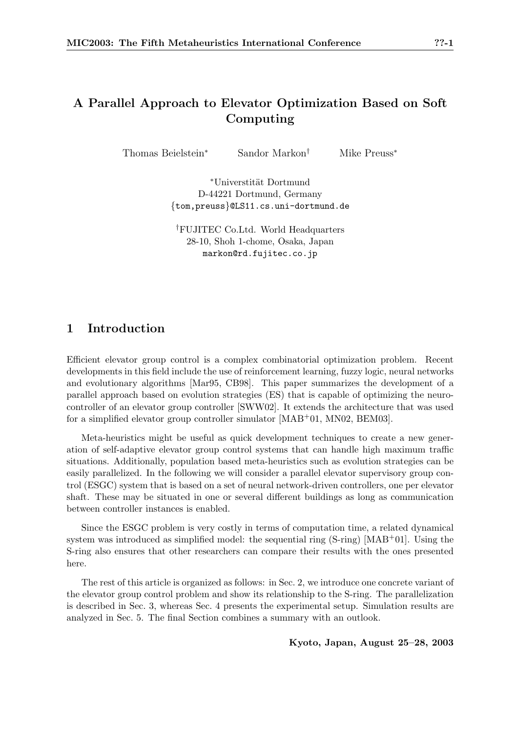# A Parallel Approach to Elevator Optimization Based on Soft Computing

Thomas Beielstein<sup>∗</sup> Sandor Markon<sup>†</sup> Mike Preuss<sup>∗</sup>

<sup>∗</sup>Universtit¨at Dortmund D-44221 Dortmund, Germany {tom,preuss}@LS11.cs.uni-dortmund.de

†FUJITEC Co.Ltd. World Headquarters 28-10, Shoh 1-chome, Osaka, Japan markon@rd.fujitec.co.jp

## 1 Introduction

Efficient elevator group control is a complex combinatorial optimization problem. Recent developments in this field include the use of reinforcement learning, fuzzy logic, neural networks and evolutionary algorithms [Mar95, CB98]. This paper summarizes the development of a parallel approach based on evolution strategies (ES) that is capable of optimizing the neurocontroller of an elevator group controller [SWW02]. It extends the architecture that was used for a simplified elevator group controller simulator  $[MAB<sup>+</sup>01, MN02, BEM03]$ .

Meta-heuristics might be useful as quick development techniques to create a new generation of self-adaptive elevator group control systems that can handle high maximum traffic situations. Additionally, population based meta-heuristics such as evolution strategies can be easily parallelized. In the following we will consider a parallel elevator supervisory group control (ESGC) system that is based on a set of neural network-driven controllers, one per elevator shaft. These may be situated in one or several different buildings as long as communication between controller instances is enabled.

Since the ESGC problem is very costly in terms of computation time, a related dynamical system was introduced as simplified model: the sequential ring (S-ring) [MAB+01]. Using the S-ring also ensures that other researchers can compare their results with the ones presented here.

The rest of this article is organized as follows: in Sec. 2, we introduce one concrete variant of the elevator group control problem and show its relationship to the S-ring. The parallelization is described in Sec. 3, whereas Sec. 4 presents the experimental setup. Simulation results are analyzed in Sec. 5. The final Section combines a summary with an outlook.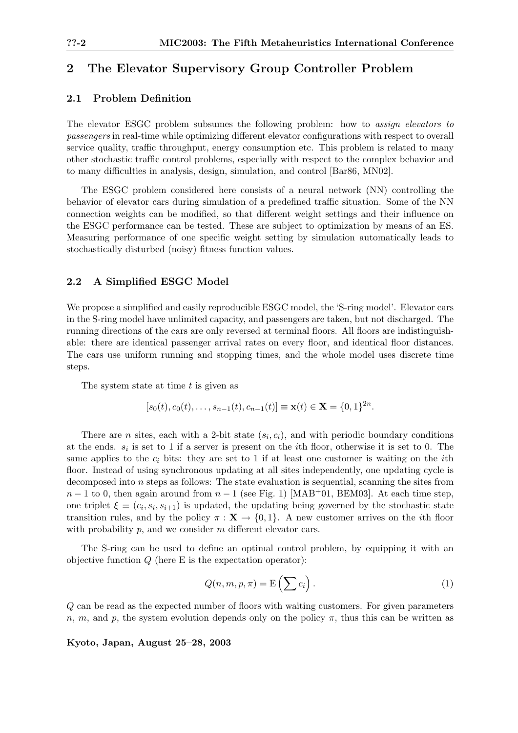## 2 The Elevator Supervisory Group Controller Problem

### 2.1 Problem Definition

The elevator ESGC problem subsumes the following problem: how to assign elevators to passengers in real-time while optimizing different elevator configurations with respect to overall service quality, traffic throughput, energy consumption etc. This problem is related to many other stochastic traffic control problems, especially with respect to the complex behavior and to many difficulties in analysis, design, simulation, and control [Bar86, MN02].

The ESGC problem considered here consists of a neural network (NN) controlling the behavior of elevator cars during simulation of a predefined traffic situation. Some of the NN connection weights can be modified, so that different weight settings and their influence on the ESGC performance can be tested. These are subject to optimization by means of an ES. Measuring performance of one specific weight setting by simulation automatically leads to stochastically disturbed (noisy) fitness function values.

### 2.2 A Simplified ESGC Model

We propose a simplified and easily reproducible ESGC model, the 'S-ring model'. Elevator cars in the S-ring model have unlimited capacity, and passengers are taken, but not discharged. The running directions of the cars are only reversed at terminal floors. All floors are indistinguishable: there are identical passenger arrival rates on every floor, and identical floor distances. The cars use uniform running and stopping times, and the whole model uses discrete time steps.

The system state at time  $t$  is given as

$$
[s_0(t), c_0(t), \dots, s_{n-1}(t), c_{n-1}(t)] \equiv \mathbf{x}(t) \in \mathbf{X} = \{0, 1\}^{2n}.
$$

There are *n* sites, each with a 2-bit state  $(s_i, c_i)$ , and with periodic boundary conditions at the ends.  $s_i$  is set to 1 if a server is present on the *i*th floor, otherwise it is set to 0. The same applies to the  $c_i$  bits: they are set to 1 if at least one customer is waiting on the *i*th floor. Instead of using synchronous updating at all sites independently, one updating cycle is decomposed into  $n$  steps as follows: The state evaluation is sequential, scanning the sites from  $n-1$  to 0, then again around from  $n-1$  (see Fig. 1) [MAB<sup>+</sup>01, BEM03]. At each time step, one triplet  $\xi \equiv (c_i, s_i, s_{i+1})$  is updated, the updating being governed by the stochastic state transition rules, and by the policy  $\pi : \mathbf{X} \to \{0,1\}$ . A new customer arrives on the *i*th floor with probability  $p$ , and we consider  $m$  different elevator cars.

The S-ring can be used to define an optimal control problem, by equipping it with an objective function  $Q$  (here E is the expectation operator):

$$
Q(n, m, p, \pi) = \mathcal{E}\left(\sum c_i\right). \tag{1}
$$

Q can be read as the expected number of floors with waiting customers. For given parameters n, m, and p, the system evolution depends only on the policy  $\pi$ , thus this can be written as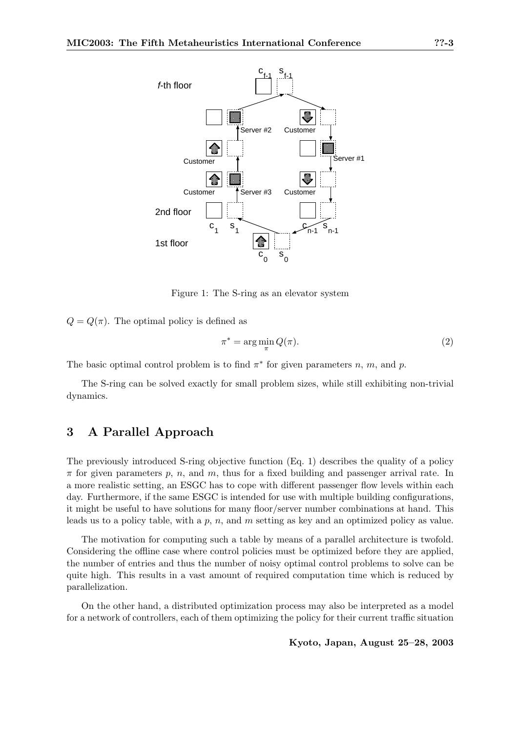

Figure 1: The S-ring as an elevator system

 $Q = Q(\pi)$ . The optimal policy is defined as

$$
\pi^* = \arg\min_{\pi} Q(\pi). \tag{2}
$$

The basic optimal control problem is to find  $\pi^*$  for given parameters n, m, and p.

The S-ring can be solved exactly for small problem sizes, while still exhibiting non-trivial dynamics.

## 3 A Parallel Approach

The previously introduced S-ring objective function (Eq. 1) describes the quality of a policy  $\pi$  for given parameters p, n, and m, thus for a fixed building and passenger arrival rate. In a more realistic setting, an ESGC has to cope with different passenger flow levels within each day. Furthermore, if the same ESGC is intended for use with multiple building configurations, it might be useful to have solutions for many floor/server number combinations at hand. This leads us to a policy table, with a  $p, n$ , and m setting as key and an optimized policy as value.

The motivation for computing such a table by means of a parallel architecture is twofold. Considering the offline case where control policies must be optimized before they are applied, the number of entries and thus the number of noisy optimal control problems to solve can be quite high. This results in a vast amount of required computation time which is reduced by parallelization.

On the other hand, a distributed optimization process may also be interpreted as a model for a network of controllers, each of them optimizing the policy for their current traffic situation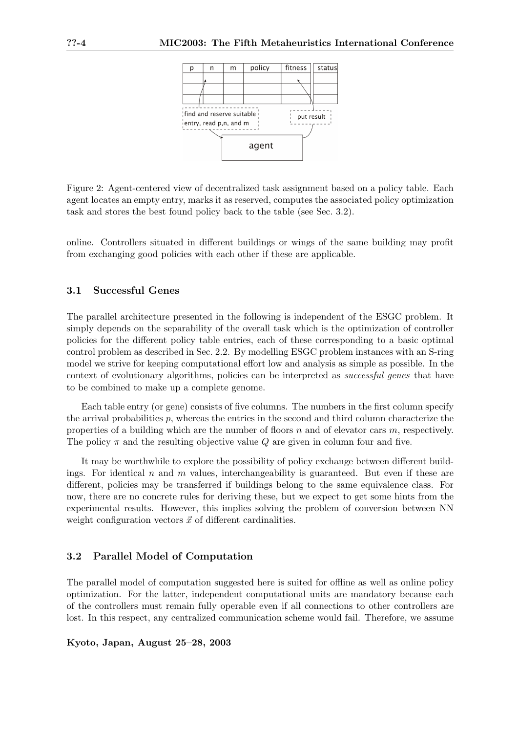

Figure 2: Agent-centered view of decentralized task assignment based on a policy table. Each agent locates an empty entry, marks it as reserved, computes the associated policy optimization task and stores the best found policy back to the table (see Sec. 3.2).

online. Controllers situated in different buildings or wings of the same building may profit from exchanging good policies with each other if these are applicable.

### 3.1 Successful Genes

The parallel architecture presented in the following is independent of the ESGC problem. It simply depends on the separability of the overall task which is the optimization of controller policies for the different policy table entries, each of these corresponding to a basic optimal control problem as described in Sec. 2.2. By modelling ESGC problem instances with an S-ring model we strive for keeping computational effort low and analysis as simple as possible. In the context of evolutionary algorithms, policies can be interpreted as *successful genes* that have to be combined to make up a complete genome.

Each table entry (or gene) consists of five columns. The numbers in the first column specify the arrival probabilities  $p$ , whereas the entries in the second and third column characterize the properties of a building which are the number of floors n and of elevator cars  $m$ , respectively. The policy  $\pi$  and the resulting objective value Q are given in column four and five.

It may be worthwhile to explore the possibility of policy exchange between different buildings. For identical  $n$  and  $m$  values, interchangeability is guaranteed. But even if these are different, policies may be transferred if buildings belong to the same equivalence class. For now, there are no concrete rules for deriving these, but we expect to get some hints from the experimental results. However, this implies solving the problem of conversion between NN weight configuration vectors  $\vec{x}$  of different cardinalities.

### 3.2 Parallel Model of Computation

The parallel model of computation suggested here is suited for offline as well as online policy optimization. For the latter, independent computational units are mandatory because each of the controllers must remain fully operable even if all connections to other controllers are lost. In this respect, any centralized communication scheme would fail. Therefore, we assume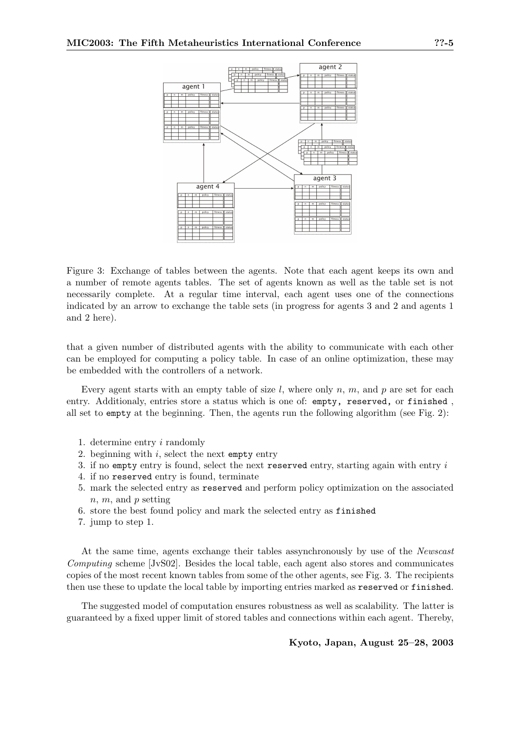

Figure 3: Exchange of tables between the agents. Note that each agent keeps its own and a number of remote agents tables. The set of agents known as well as the table set is not necessarily complete. At a regular time interval, each agent uses one of the connections indicated by an arrow to exchange the table sets (in progress for agents 3 and 2 and agents 1 and 2 here).

that a given number of distributed agents with the ability to communicate with each other can be employed for computing a policy table. In case of an online optimization, these may be embedded with the controllers of a network.

Every agent starts with an empty table of size  $l$ , where only  $n$ ,  $m$ , and  $p$  are set for each entry. Additionaly, entries store a status which is one of: empty, reserved, or finished , all set to empty at the beginning. Then, the agents run the following algorithm (see Fig. 2):

- 1. determine entry i randomly
- 2. beginning with  $i$ , select the next empty entry
- 3. if no empty entry is found, select the next reserved entry, starting again with entry  $i$
- 4. if no reserved entry is found, terminate
- 5. mark the selected entry as reserved and perform policy optimization on the associated  $n, m,$  and  $p$  setting
- 6. store the best found policy and mark the selected entry as finished
- 7. jump to step 1.

At the same time, agents exchange their tables assynchronously by use of the Newscast Computing scheme [JvS02]. Besides the local table, each agent also stores and communicates copies of the most recent known tables from some of the other agents, see Fig. 3. The recipients then use these to update the local table by importing entries marked as reserved or finished.

The suggested model of computation ensures robustness as well as scalability. The latter is guaranteed by a fixed upper limit of stored tables and connections within each agent. Thereby,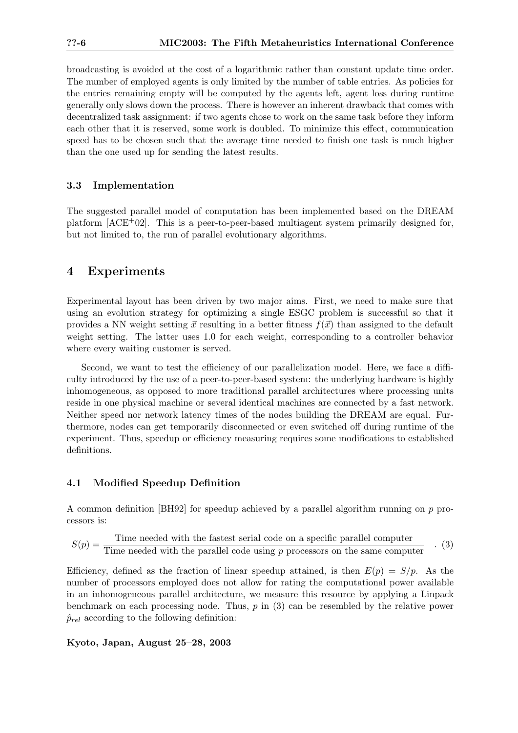broadcasting is avoided at the cost of a logarithmic rather than constant update time order. The number of employed agents is only limited by the number of table entries. As policies for the entries remaining empty will be computed by the agents left, agent loss during runtime generally only slows down the process. There is however an inherent drawback that comes with decentralized task assignment: if two agents chose to work on the same task before they inform each other that it is reserved, some work is doubled. To minimize this effect, communication speed has to be chosen such that the average time needed to finish one task is much higher than the one used up for sending the latest results.

### 3.3 Implementation

The suggested parallel model of computation has been implemented based on the DREAM platform  $[ACE<sup>+</sup>02]$ . This is a peer-to-peer-based multiagent system primarily designed for, but not limited to, the run of parallel evolutionary algorithms.

## 4 Experiments

Experimental layout has been driven by two major aims. First, we need to make sure that using an evolution strategy for optimizing a single ESGC problem is successful so that it provides a NN weight setting  $\vec{x}$  resulting in a better fitness  $f(\vec{x})$  than assigned to the default weight setting. The latter uses 1.0 for each weight, corresponding to a controller behavior where every waiting customer is served.

Second, we want to test the efficiency of our parallelization model. Here, we face a difficulty introduced by the use of a peer-to-peer-based system: the underlying hardware is highly inhomogeneous, as opposed to more traditional parallel architectures where processing units reside in one physical machine or several identical machines are connected by a fast network. Neither speed nor network latency times of the nodes building the DREAM are equal. Furthermore, nodes can get temporarily disconnected or even switched off during runtime of the experiment. Thus, speedup or efficiency measuring requires some modifications to established definitions.

### 4.1 Modified Speedup Definition

A common definition [BH92] for speedup achieved by a parallel algorithm running on  $p$  processors is:

$$
S(p) = \frac{\text{Time needed with the fastest serial code on a specific parallel computer}}{\text{Time needed with the parallel code using } p \text{ processors on the same computer}} \quad . \tag{3}
$$

Efficiency, defined as the fraction of linear speedup attained, is then  $E(p) = S/p$ . As the number of processors employed does not allow for rating the computational power available in an inhomogeneous parallel architecture, we measure this resource by applying a Linpack benchmark on each processing node. Thus,  $p$  in (3) can be resembled by the relative power  $\hat{p}_{rel}$  according to the following definition: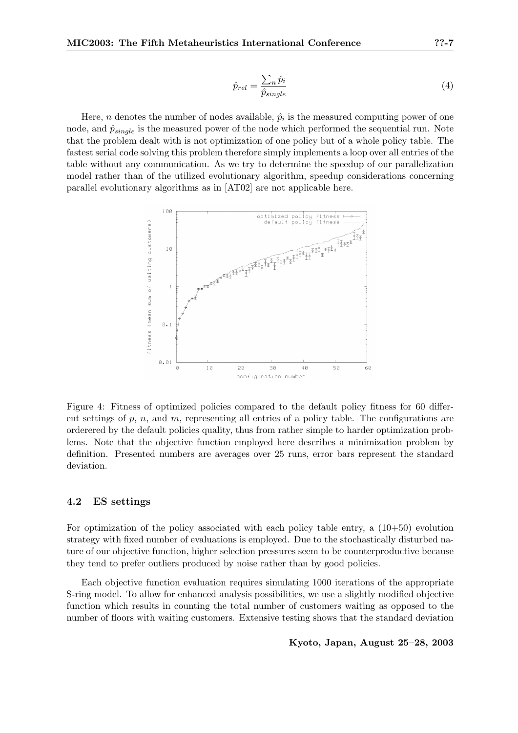$$
\hat{p}_{rel} = \frac{\sum_{n} \hat{p}_{i}}{\hat{p}_{single}} \tag{4}
$$

Here, *n* denotes the number of nodes available,  $\hat{p}_i$  is the measured computing power of one node, and  $\hat{p}_{single}$  is the measured power of the node which performed the sequential run. Note that the problem dealt with is not optimization of one policy but of a whole policy table. The fastest serial code solving this problem therefore simply implements a loop over all entries of the table without any communication. As we try to determine the speedup of our parallelization model rather than of the utilized evolutionary algorithm, speedup considerations concerning parallel evolutionary algorithms as in [AT02] are not applicable here.



Figure 4: Fitness of optimized policies compared to the default policy fitness for 60 different settings of  $p, n$ , and  $m$ , representing all entries of a policy table. The configurations are orderered by the default policies quality, thus from rather simple to harder optimization problems. Note that the objective function employed here describes a minimization problem by definition. Presented numbers are averages over 25 runs, error bars represent the standard deviation.

### 4.2 ES settings

For optimization of the policy associated with each policy table entry, a  $(10+50)$  evolution strategy with fixed number of evaluations is employed. Due to the stochastically disturbed nature of our objective function, higher selection pressures seem to be counterproductive because they tend to prefer outliers produced by noise rather than by good policies.

Each objective function evaluation requires simulating 1000 iterations of the appropriate S-ring model. To allow for enhanced analysis possibilities, we use a slightly modified objective function which results in counting the total number of customers waiting as opposed to the number of floors with waiting customers. Extensive testing shows that the standard deviation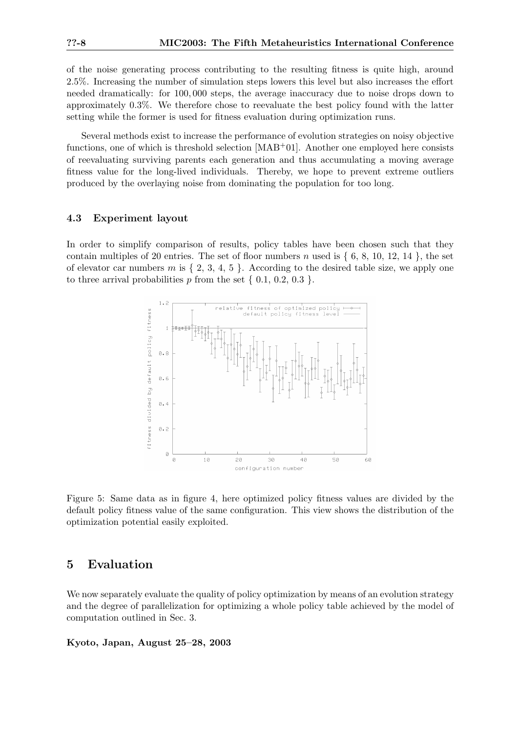of the noise generating process contributing to the resulting fitness is quite high, around 2.5%. Increasing the number of simulation steps lowers this level but also increases the effort needed dramatically: for 100, 000 steps, the average inaccuracy due to noise drops down to approximately 0.3%. We therefore chose to reevaluate the best policy found with the latter setting while the former is used for fitness evaluation during optimization runs.

Several methods exist to increase the performance of evolution strategies on noisy objective functions, one of which is threshold selection  $[MAB<sup>+</sup>01]$ . Another one employed here consists of reevaluating surviving parents each generation and thus accumulating a moving average fitness value for the long-lived individuals. Thereby, we hope to prevent extreme outliers produced by the overlaying noise from dominating the population for too long.

#### 4.3 Experiment layout

In order to simplify comparison of results, policy tables have been chosen such that they contain multiples of 20 entries. The set of floor numbers n used is  $\{6, 8, 10, 12, 14\}$ , the set of elevator car numbers  $m$  is  $\{2, 3, 4, 5\}$ . According to the desired table size, we apply one to three arrival probabilities  $p$  from the set  $\{0.1, 0.2, 0.3\}$ .



Figure 5: Same data as in figure 4, here optimized policy fitness values are divided by the default policy fitness value of the same configuration. This view shows the distribution of the optimization potential easily exploited.

## 5 Evaluation

We now separately evaluate the quality of policy optimization by means of an evolution strategy and the degree of parallelization for optimizing a whole policy table achieved by the model of computation outlined in Sec. 3.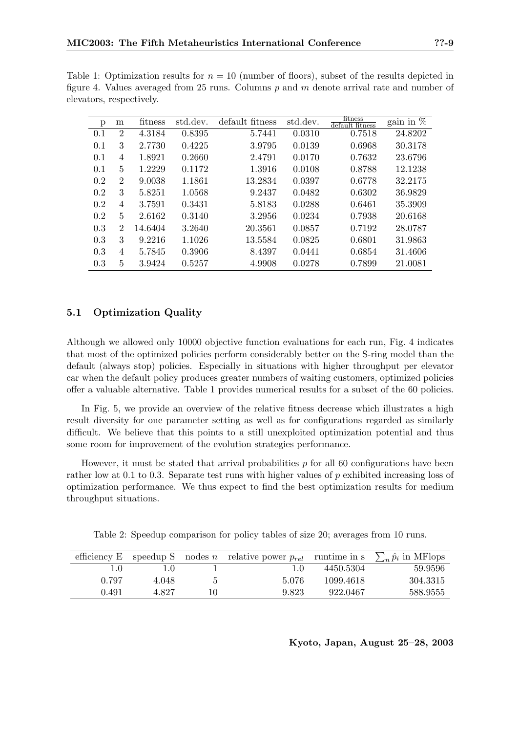| р   | m                           | fitness | std.dev. | default fitness | std.dev. | fitness<br>default fitness | gain in $%$ |
|-----|-----------------------------|---------|----------|-----------------|----------|----------------------------|-------------|
| 0.1 | $\overline{2}$              | 4.3184  | 0.8395   | 5.7441          | 0.0310   | 0.7518                     | 24.8202     |
| 0.1 | 3                           | 2.7730  | 0.4225   | 3.9795          | 0.0139   | 0.6968                     | 30.3178     |
| 0.1 | 4                           | 1.8921  | 0.2660   | 2.4791          | 0.0170   | 0.7632                     | 23.6796     |
| 0.1 | 5                           | 1.2229  | 0.1172   | 1.3916          | 0.0108   | 0.8788                     | 12.1238     |
| 0.2 | $\overline{2}$              | 9.0038  | 1.1861   | 13.2834         | 0.0397   | 0.6778                     | 32.2175     |
| 0.2 | 3                           | 5.8251  | 1.0568   | 9.2437          | 0.0482   | 0.6302                     | 36.9829     |
| 0.2 | 4                           | 3.7591  | 0.3431   | 5.8183          | 0.0288   | 0.6461                     | 35.3909     |
| 0.2 | 5                           | 2.6162  | 0.3140   | 3.2956          | 0.0234   | 0.7938                     | 20.6168     |
| 0.3 | $\mathcal{D}_{\mathcal{L}}$ | 14.6404 | 3.2640   | 20.3561         | 0.0857   | 0.7192                     | 28.0787     |
| 0.3 | 3                           | 9.2216  | 1.1026   | 13.5584         | 0.0825   | 0.6801                     | 31.9863     |
| 0.3 | 4                           | 5.7845  | 0.3906   | 8.4397          | 0.0441   | 0.6854                     | 31.4606     |
| 0.3 | 5                           | 3.9424  | 0.5257   | 4.9908          | 0.0278   | 0.7899                     | 21.0081     |

Table 1: Optimization results for  $n = 10$  (number of floors), subset of the results depicted in figure 4. Values averaged from 25 runs. Columns  $p$  and  $m$  denote arrival rate and number of elevators, respectively.

### 5.1 Optimization Quality

Although we allowed only 10000 objective function evaluations for each run, Fig. 4 indicates that most of the optimized policies perform considerably better on the S-ring model than the default (always stop) policies. Especially in situations with higher throughput per elevator car when the default policy produces greater numbers of waiting customers, optimized policies offer a valuable alternative. Table 1 provides numerical results for a subset of the 60 policies.

In Fig. 5, we provide an overview of the relative fitness decrease which illustrates a high result diversity for one parameter setting as well as for configurations regarded as similarly difficult. We believe that this points to a still unexploited optimization potential and thus some room for improvement of the evolution strategies performance.

However, it must be stated that arrival probabilities  $p$  for all 60 configurations have been rather low at 0.1 to 0.3. Separate test runs with higher values of  $p$  exhibited increasing loss of optimization performance. We thus expect to find the best optimization results for medium throughput situations.

|  |  | Table 2: Speedup comparison for policy tables of size 20; averages from 10 runs. |  |  |  |  |  |  |  |  |  |  |
|--|--|----------------------------------------------------------------------------------|--|--|--|--|--|--|--|--|--|--|
|--|--|----------------------------------------------------------------------------------|--|--|--|--|--|--|--|--|--|--|

|       |       | efficiency E speedup S nodes n relative power $p_{rel}$ runtime in s $\sum_{n} \hat{p}_i$ in MFlops |           |          |
|-------|-------|-----------------------------------------------------------------------------------------------------|-----------|----------|
| 1.0   |       | 1.0                                                                                                 | 4450.5304 | 59.9596  |
| 0.797 | 4.048 | 5.076                                                                                               | 1099.4618 | 304.3315 |
| 0.491 | 4.827 | 9.823                                                                                               | 922.0467  | 588.9555 |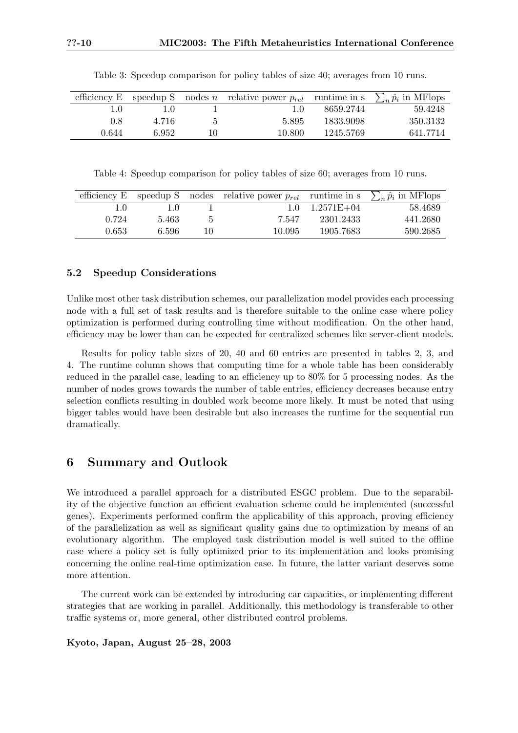|       |       |    | efficiency E speedup S nodes n relative power $p_{rel}$ runtime in s $\sum_{n} \hat{p}_i$ in MFlops |           |          |
|-------|-------|----|-----------------------------------------------------------------------------------------------------|-----------|----------|
| 1.O   | 1.0   |    | 1.0                                                                                                 | 8659.2744 | 59.4248  |
| 0.8   | 4.716 |    | 5.895                                                                                               | 1833.9098 | 350.3132 |
| 0.644 | 6.952 | 10 | 10.800                                                                                              | 1245.5769 | 641.7714 |

Table 3: Speedup comparison for policy tables of size 40; averages from 10 runs.

Table 4: Speedup comparison for policy tables of size 60; averages from 10 runs.

|       |       |       | efficiency E speedup S nodes relative power $p_{rel}$ runtime in s $\sum_{n} \hat{p}_i$ in MFlops |                          |          |
|-------|-------|-------|---------------------------------------------------------------------------------------------------|--------------------------|----------|
| 1.0   | 10    |       |                                                                                                   | $1.0 \quad 1.2571E + 04$ | 58.4689  |
| 0.724 | 5.463 | $5 -$ | 7.547                                                                                             | 2301.2433                | 441.2680 |
| 0.653 | 6.596 | 10    | 10.095                                                                                            | 1905.7683                | 590.2685 |

#### 5.2 Speedup Considerations

Unlike most other task distribution schemes, our parallelization model provides each processing node with a full set of task results and is therefore suitable to the online case where policy optimization is performed during controlling time without modification. On the other hand, efficiency may be lower than can be expected for centralized schemes like server-client models.

Results for policy table sizes of 20, 40 and 60 entries are presented in tables 2, 3, and 4. The runtime column shows that computing time for a whole table has been considerably reduced in the parallel case, leading to an efficiency up to 80% for 5 processing nodes. As the number of nodes grows towards the number of table entries, efficiency decreases because entry selection conflicts resulting in doubled work become more likely. It must be noted that using bigger tables would have been desirable but also increases the runtime for the sequential run dramatically.

## 6 Summary and Outlook

We introduced a parallel approach for a distributed ESGC problem. Due to the separability of the objective function an efficient evaluation scheme could be implemented (successful genes). Experiments performed confirm the applicability of this approach, proving efficiency of the parallelization as well as significant quality gains due to optimization by means of an evolutionary algorithm. The employed task distribution model is well suited to the offline case where a policy set is fully optimized prior to its implementation and looks promising concerning the online real-time optimization case. In future, the latter variant deserves some more attention.

The current work can be extended by introducing car capacities, or implementing different strategies that are working in parallel. Additionally, this methodology is transferable to other traffic systems or, more general, other distributed control problems.